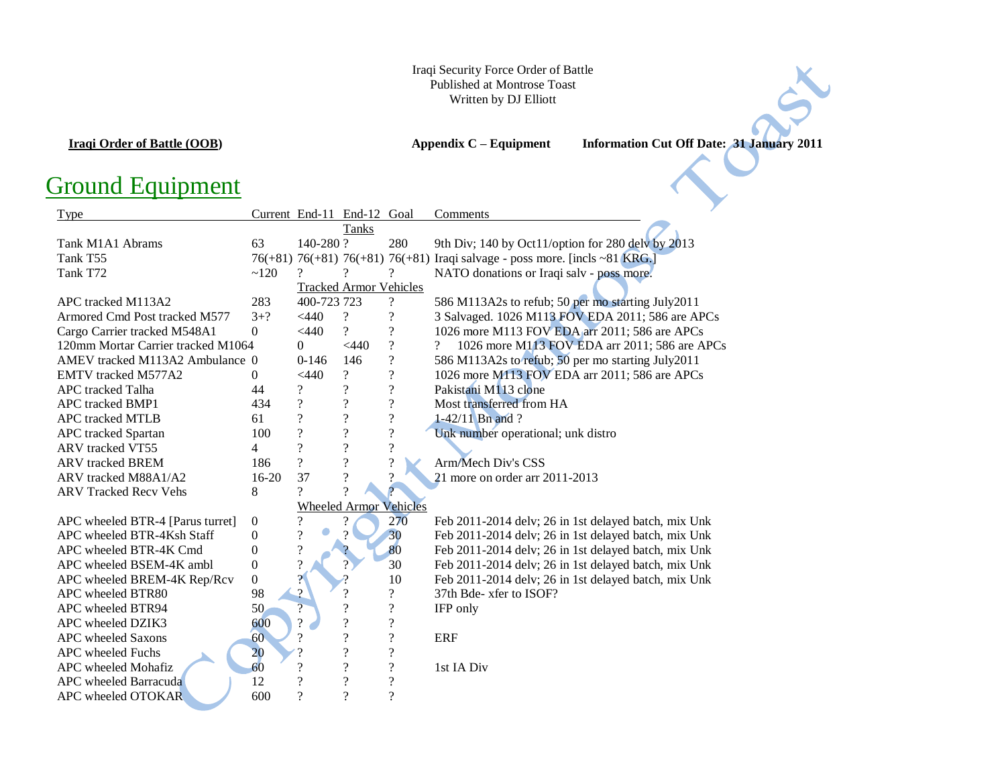## Iraqi Security Force Order of Battle Published at Montrose Toast Written by DJ Elliott

**Iraqi Order of Battle (OOB) Appendix C – Equipment Information Cut Off Date: 31 January 2011**

## Ground Equipment

| Type                               |                  | Current End-11 End-12 Goal |                               |                          | Comments                                                                    |
|------------------------------------|------------------|----------------------------|-------------------------------|--------------------------|-----------------------------------------------------------------------------|
|                                    |                  |                            | Tanks                         |                          |                                                                             |
| Tank M1A1 Abrams                   | 63               | 140-280?                   |                               | 280                      | 9th Div; 140 by Oct11/option for 280 dely by 2013                           |
| Tank T55                           |                  |                            |                               |                          | 76(+81) 76(+81) 76(+81) 76(+81) Iraqi salvage - poss more. [incls ~81 KRG.] |
| Tank T72                           | ~120             | 9                          |                               | ?                        | NATO donations or Iraqi salv - poss more.                                   |
|                                    |                  |                            | <b>Tracked Armor Vehicles</b> |                          |                                                                             |
| APC tracked M113A2                 | 283              | 400-723 723                |                               | $\overline{\cdot}$       | 586 M113A2s to refub; 50 per mo starting July2011                           |
| Armored Cmd Post tracked M577      | $3 + ?$          | $<$ 440                    | $\overline{\cdot}$            | $\overline{\mathcal{C}}$ | 3 Salvaged. 1026 M113 FOV EDA 2011; 586 are APCs                            |
| Cargo Carrier tracked M548A1       | $\theta$         | $<$ 440                    | $\overline{\mathcal{L}}$      | $\overline{\cdot}$       | 1026 more M113 FOV EDA arr 2011; 586 are APCs                               |
| 120mm Mortar Carrier tracked M1064 |                  | $\theta$                   | $<$ 440                       | $\overline{\mathcal{L}}$ | 1026 more M113 FOV EDA arr 2011; 586 are APCs<br>$\overline{\mathcal{L}}$   |
| AMEV tracked M113A2 Ambulance 0    |                  | $0-146$                    | 146                           | $\overline{\mathcal{L}}$ | 586 M113A2s to refub; 50 per mo starting July2011                           |
| <b>EMTV</b> tracked M577A2         | $\Omega$         | $<$ 440                    | $\overline{\mathcal{L}}$      | $\overline{\mathcal{C}}$ | 1026 more M113 FOV EDA arr 2011; 586 are APCs                               |
| APC tracked Talha                  | 44               | $\overline{\mathcal{E}}$   | $\overline{\mathcal{L}}$      | $\overline{\mathcal{C}}$ | Pakistani M113 clone                                                        |
| <b>APC</b> tracked BMP1            | 434              | $\overline{\mathcal{C}}$   | $\overline{\mathcal{C}}$      | $\overline{\mathcal{L}}$ | Most transferred from HA                                                    |
| <b>APC</b> tracked MTLB            | 61               | $\overline{\mathcal{L}}$   | $\overline{\mathcal{L}}$      | $\boldsymbol{?}$         | $1 - 42/11$ Bn and ?                                                        |
| APC tracked Spartan                | 100              | $\overline{\mathcal{C}}$   | $\overline{\mathcal{C}}$      | $\overline{\mathcal{L}}$ | Unk number operational; unk distro                                          |
| ARV tracked VT55                   | 4                | $\overline{\mathcal{L}}$   | $\overline{\mathcal{C}}$      | $\overline{\mathcal{L}}$ |                                                                             |
| <b>ARV</b> tracked <b>BREM</b>     | 186              | $\overline{?}$             | $\overline{\mathcal{L}}$      | $\overline{?}$           | Arm/Mech Div's CSS                                                          |
| ARV tracked M88A1/A2               | $16 - 20$        | 37                         | $\overline{\mathcal{L}}$      | $\gamma$                 | 21 more on order arr 2011-2013                                              |
| <b>ARV Tracked Recy Vehs</b>       | 8                | $\mathcal{P}$              | $\gamma$                      |                          |                                                                             |
|                                    |                  |                            | <b>Wheeled Armor Vehicles</b> |                          |                                                                             |
| APC wheeled BTR-4 [Parus turret]   | $\boldsymbol{0}$ | ?                          |                               | 270                      | Feb 2011-2014 delv; 26 in 1st delayed batch, mix Unk                        |
| APC wheeled BTR-4Ksh Staff         | $\boldsymbol{0}$ | $\overline{\mathcal{L}}$   | 9                             | 30                       | Feb 2011-2014 delv; 26 in 1st delayed batch, mix Unk                        |
| APC wheeled BTR-4K Cmd             | $\overline{0}$   | $\overline{\mathcal{L}}$   |                               | 80                       | Feb 2011-2014 delv; 26 in 1st delayed batch, mix Unk                        |
| APC wheeled BSEM-4K ambl           | $\boldsymbol{0}$ | $\overline{\mathcal{L}}$   | $\overline{?}$                | 30                       | Feb 2011-2014 delv; 26 in 1st delayed batch, mix Unk                        |
| APC wheeled BREM-4K Rep/Rcv        | $\boldsymbol{0}$ | $\gamma$                   |                               | 10                       | Feb 2011-2014 delv; 26 in 1st delayed batch, mix Unk                        |
| APC wheeled BTR80                  | 98               | $\mathcal{P}$              | $\overline{\mathcal{C}}$      | $\ddot{?}$               | 37th Bde- xfer to ISOF?                                                     |
| APC wheeled BTR94                  | 50               | $\overline{?}$             | $\overline{\mathcal{L}}$      | $\overline{\mathcal{L}}$ | IFP only                                                                    |
| APC wheeled DZIK3                  | 600              | $\gamma$                   | $\overline{\mathcal{L}}$      | $\overline{\mathcal{L}}$ |                                                                             |
| APC wheeled Saxons                 | 60               | $\overline{\mathcal{L}}$   | $\overline{\mathcal{C}}$      | $\overline{\mathcal{C}}$ | <b>ERF</b>                                                                  |
| APC wheeled Fuchs                  | 20               |                            | $\overline{\mathcal{C}}$      | $\overline{\mathcal{L}}$ |                                                                             |
| APC wheeled Mohafiz                | 60               | ?                          | $\overline{\mathcal{C}}$      | $\overline{\mathcal{C}}$ | 1st IA Div                                                                  |
| APC wheeled Barracuda              | 12               | $\gamma$                   | $\overline{\mathcal{L}}$      | $\overline{?}$           |                                                                             |
| APC wheeled OTOKAR                 | 600              | $\gamma$                   | $\gamma$                      | $\overline{\cdot}$       |                                                                             |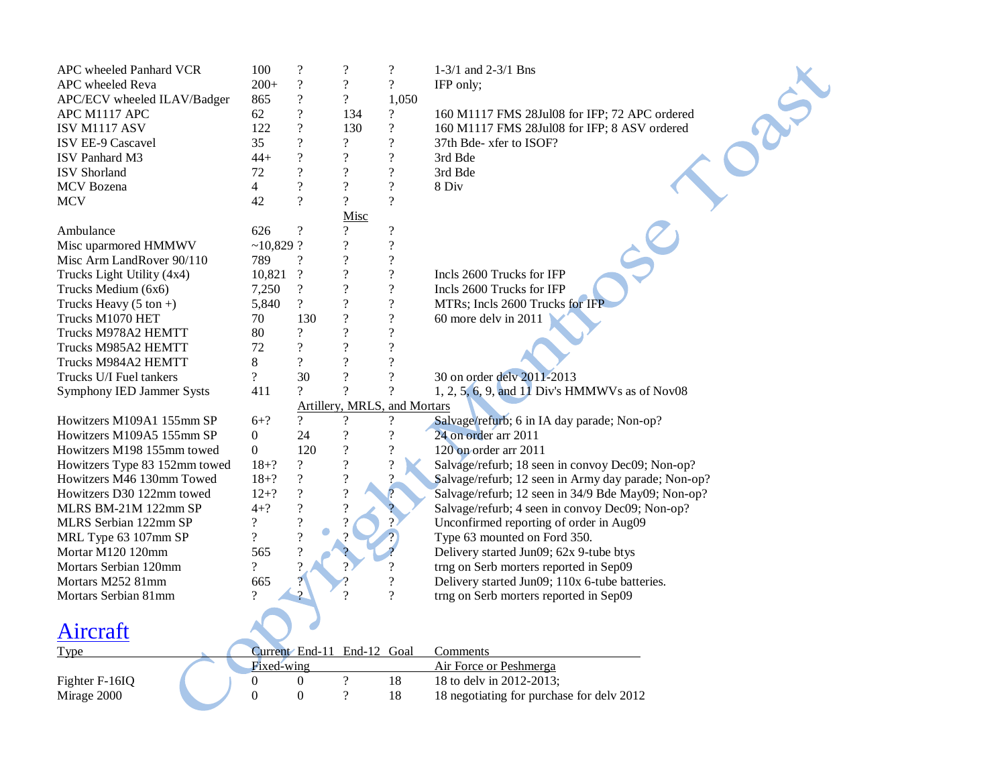| APC wheeled Panhard VCR           | 100                      | $\overline{\mathcal{L}}$ | $\overline{\mathcal{L}}$     | $\overline{?}$             | $1-3/1$ and $2-3/1$ Bns                             |
|-----------------------------------|--------------------------|--------------------------|------------------------------|----------------------------|-----------------------------------------------------|
| APC wheeled Reva                  | $200+$                   | $\overline{\mathcal{L}}$ | $\overline{\mathcal{L}}$     | $\overline{\mathcal{L}}$   | IFP only;                                           |
| APC/ECV wheeled ILAV/Badger       | 865                      | $\overline{\cdot}$       | $\overline{\mathcal{L}}$     | 1,050                      |                                                     |
| APC M1117 APC                     | 62                       | $\overline{\mathcal{L}}$ | 134                          | $\boldsymbol{\mathcal{P}}$ | 160 M1117 FMS 28Jul08 for IFP; 72 APC ordered       |
| ISV M1117 ASV                     | 122                      | $\overline{\mathcal{L}}$ | 130                          | $\boldsymbol{\mathcal{P}}$ | 160 M1117 FMS 28Jul08 for IFP; 8 ASV ordered        |
| ISV EE-9 Cascavel                 | 35                       | $\overline{\mathcal{L}}$ | $\overline{\mathcal{L}}$     | $\overline{\mathcal{L}}$   | 37th Bde- xfer to ISOF?                             |
| <b>ISV</b> Panhard M3             | $44 +$                   | $\overline{\mathcal{C}}$ | $\overline{\mathcal{L}}$     | $\overline{\mathcal{L}}$   | 3rd Bde                                             |
| <b>ISV</b> Shorland               | 72                       | $\overline{\mathcal{L}}$ | $\overline{\mathcal{L}}$     | $\overline{\mathcal{L}}$   | 3rd Bde                                             |
| <b>MCV</b> Bozena                 | $\overline{4}$           | $\overline{\cdot}$       | $\overline{?}$               | $\overline{\mathcal{L}}$   | 8 Div                                               |
| <b>MCV</b>                        | 42                       | $\gamma$                 | $\gamma$                     | $\overline{\mathcal{L}}$   |                                                     |
|                                   |                          |                          | Misc                         |                            |                                                     |
| Ambulance                         | 626                      | $\overline{\mathcal{C}}$ | $\overline{?}$               | $\boldsymbol{?}$           |                                                     |
| Misc uparmored HMMWV              | $~10,829$ ?              |                          | $\overline{\cdot}$           | $\overline{\mathcal{L}}$   |                                                     |
| Misc Arm LandRover 90/110         | 789                      | $\overline{\cdot}$       | $\overline{\mathcal{L}}$     | $\overline{\mathcal{L}}$   |                                                     |
| Trucks Light Utility (4x4)        | 10,821                   | $\boldsymbol{?}$         | $\overline{\mathcal{L}}$     | $\boldsymbol{?}$           | Incls 2600 Trucks for IFP                           |
| Trucks Medium (6x6)               | 7,250                    | $\overline{\mathcal{C}}$ | $\overline{?}$               | $\overline{\mathcal{L}}$   | Incls 2600 Trucks for IFP                           |
| Trucks Heavy $(5 \text{ ton} + )$ | 5,840                    | $\gamma$                 | $\overline{?}$               | $\overline{\mathcal{L}}$   | MTRs; Incls 2600 Trucks for IFP                     |
| Trucks M1070 HET                  | 70                       | 130                      | $\overline{\mathcal{L}}$     | $\boldsymbol{?}$           | 60 more delv in 2011                                |
| Trucks M978A2 HEMTT               | 80                       | $\overline{?}$           | $\overline{?}$               | $\overline{\cdot}$         |                                                     |
| Trucks M985A2 HEMTT               | 72                       | $\overline{\mathcal{L}}$ | $\overline{\mathcal{L}}$     | $\overline{\mathcal{L}}$   |                                                     |
| Trucks M984A2 HEMTT               | 8                        | $\overline{\mathcal{L}}$ | $\overline{?}$               | $\overline{\mathcal{L}}$   |                                                     |
| Trucks U/I Fuel tankers           | $\overline{\mathcal{L}}$ | 30                       | $\gamma$                     | $\overline{\mathcal{L}}$   | 30 on order delv 2011-2013                          |
| Symphony IED Jammer Systs         | 411                      | $\gamma$                 | $\gamma$                     | $\overline{\mathcal{C}}$   | 1, 2, 5, 6, 9, and 11 Div's HMMWVs as of Nov08      |
|                                   |                          |                          | Artillery, MRLS, and Mortars |                            |                                                     |
| Howitzers M109A1 155mm SP         | $6 + ?$                  | $\gamma$                 | $\gamma$                     | $\boldsymbol{\mathcal{P}}$ | Salvage/refurb; 6 in IA day parade; Non-op?         |
| Howitzers M109A5 155mm SP         | $\boldsymbol{0}$         | 24                       | $\overline{\mathcal{L}}$     | $\overline{\mathcal{L}}$   | 24 on order arr 2011                                |
| Howitzers M198 155mm towed        | $\boldsymbol{0}$         | 120                      | $\overline{\mathcal{L}}$     | $\boldsymbol{?}$           | 120 on order arr 2011                               |
| Howitzers Type 83 152mm towed     | $18 + ?$                 | $\overline{\mathcal{L}}$ | $\overline{\mathcal{L}}$     | $\boldsymbol{?}$           | Salvage/refurb; 18 seen in convoy Dec09; Non-op?    |
| Howitzers M46 130mm Towed         | $18 + ?$                 | $\overline{?}$           | $\overline{\mathcal{L}}$     | 2                          | Salvage/refurb; 12 seen in Army day parade; Non-op? |
| Howitzers D30 122mm towed         | $12 + ?$                 | $\overline{\mathcal{L}}$ | $\overline{\mathcal{L}}$     | $\overline{?}$             | Salvage/refurb; 12 seen in 34/9 Bde May09; Non-op?  |
| MLRS BM-21M 122mm SP              | $4 + ?$                  | $\overline{\mathcal{L}}$ | $\overline{\mathcal{L}}$     |                            | Salvage/refurb; 4 seen in convoy Dec09; Non-op?     |
| MLRS Serbian 122mm SP             | $\overline{\mathcal{L}}$ | $\overline{\mathcal{L}}$ |                              |                            | Unconfirmed reporting of order in Aug09             |
| MRL Type 63 107mm SP              | $\overline{?}$           | $\overline{\mathcal{C}}$ |                              |                            | Type 63 mounted on Ford 350.                        |
| Mortar M120 120mm                 | 565                      | $\overline{\mathcal{L}}$ |                              |                            | Delivery started Jun09; 62x 9-tube btys             |
| Mortars Serbian 120mm             | $\overline{\mathcal{C}}$ | $\gamma$                 |                              | $\overline{\mathcal{L}}$   | trng on Serb morters reported in Sep09              |
| Mortars M252 81mm                 | 665                      |                          |                              | $\overline{\mathcal{L}}$   | Delivery started Jun09; 110x 6-tube batteries.      |
| Mortars Serbian 81mm              | 9                        | $\mathcal{P}$            |                              | $\overline{?}$             | trng on Serb morters reported in Sep09              |
|                                   |                          |                          |                              |                            |                                                     |
| <u>Aircraft</u>                   |                          |                          |                              |                            |                                                     |
|                                   |                          |                          |                              |                            |                                                     |
| Type                              |                          |                          | Current End-11 End-12 Goal   |                            | Comments                                            |
|                                   | Fixed-wing               |                          |                              |                            | Air Force or Peshmerga                              |
| Fighter F-16IQ                    | $\boldsymbol{0}$         | $\boldsymbol{0}$         | $\overline{\mathcal{L}}$     | 18                         | 18 to delv in 2012-2013;                            |
| Mirage 2000                       | $\boldsymbol{0}$         | $\boldsymbol{0}$         | $\overline{\mathcal{L}}$     | 18                         | 18 negotiating for purchase for delv 2012           |